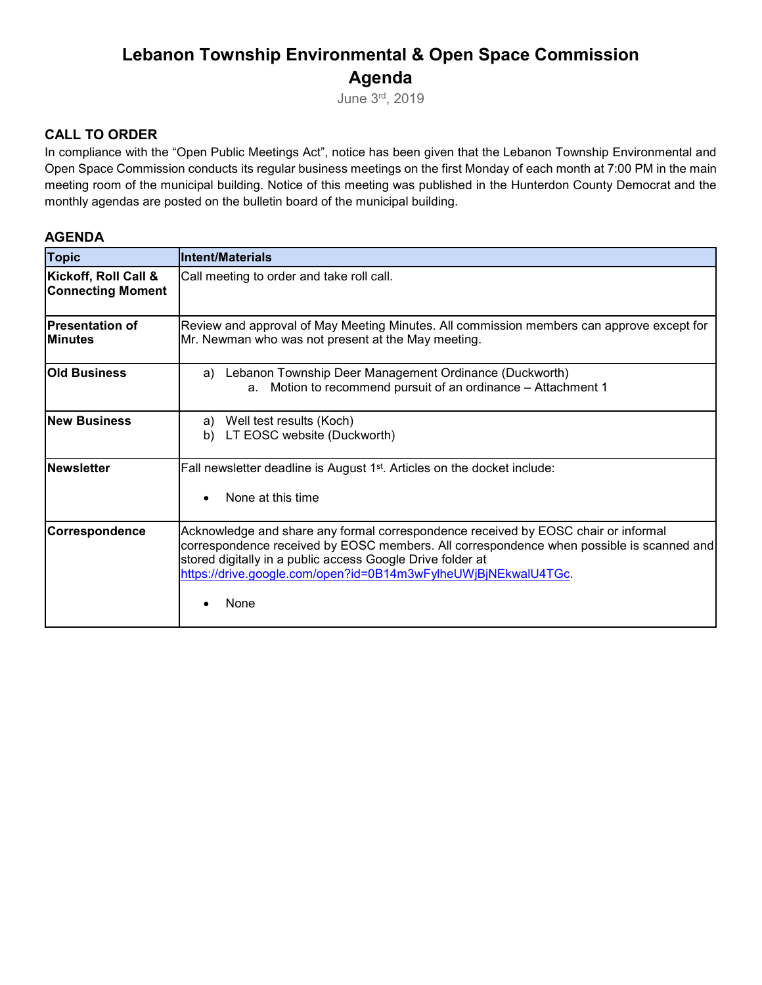# **Lebanon Township Environmental & Open Space Commission Agenda**

June 3rd, 2019

### **CALL TO ORDER**

In compliance with the "Open Public Meetings Act", notice has been given that the Lebanon Township Environmental and Open Space Commission conducts its regular business meetings on the first Monday of each month at 7:00 PM in the main meeting room of the municipal building. Notice of this meeting was published in the Hunterdon County Democrat and the monthly agendas are posted on the bulletin board of the municipal building.

#### **AGENDA**

| <b>Topic</b>                                     | Intent/Materials                                                                                                                                                                                                                                                                                                       |
|--------------------------------------------------|------------------------------------------------------------------------------------------------------------------------------------------------------------------------------------------------------------------------------------------------------------------------------------------------------------------------|
| Kickoff, Roll Call &<br><b>Connecting Moment</b> | Call meeting to order and take roll call.                                                                                                                                                                                                                                                                              |
| <b>Presentation of</b><br><b>Minutes</b>         | Review and approval of May Meeting Minutes. All commission members can approve except for<br>Mr. Newman who was not present at the May meeting.                                                                                                                                                                        |
| <b>Old Business</b>                              | Lebanon Township Deer Management Ordinance (Duckworth)<br>a)<br>a. Motion to recommend pursuit of an ordinance - Attachment 1                                                                                                                                                                                          |
| <b>New Business</b>                              | Well test results (Koch)<br>a)<br>LT EOSC website (Duckworth)<br>b)                                                                                                                                                                                                                                                    |
| <b>Newsletter</b>                                | Fall newsletter deadline is August 1 <sup>st</sup> . Articles on the docket include:<br>None at this time                                                                                                                                                                                                              |
| Correspondence                                   | Acknowledge and share any formal correspondence received by EOSC chair or informal<br>correspondence received by EOSC members. All correspondence when possible is scanned and<br>stored digitally in a public access Google Drive folder at<br>https://drive.google.com/open?id=0B14m3wFylheUWjBjNEkwalU4TGc.<br>None |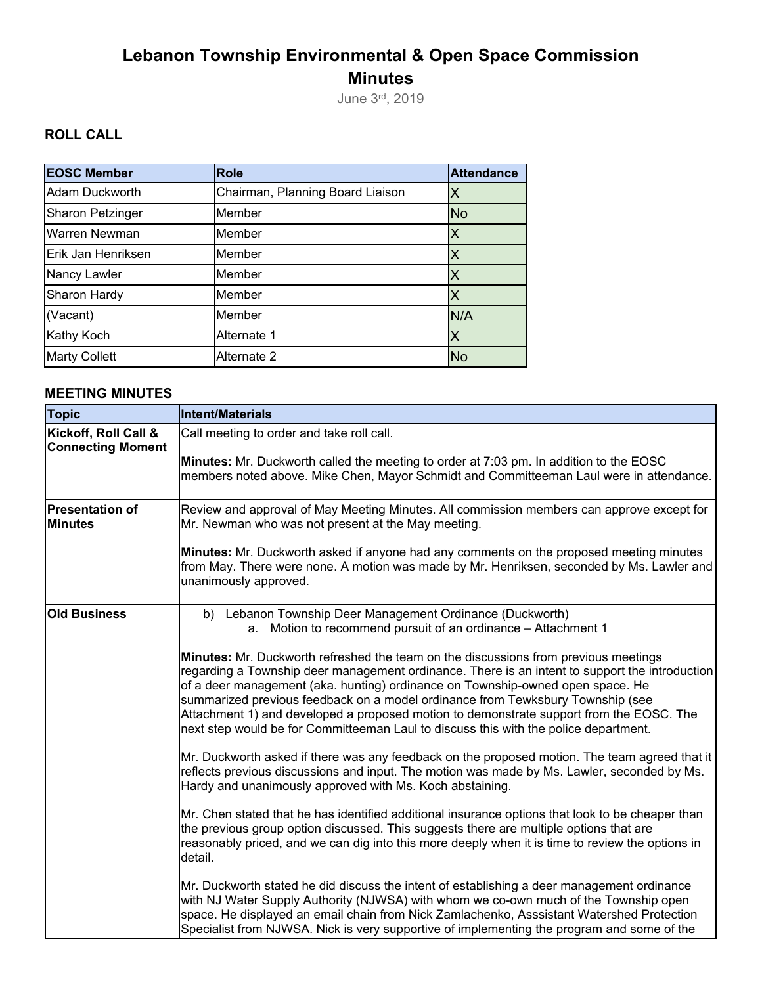# **Lebanon Township Environmental & Open Space Commission Minutes**

June 3rd, 2019

# **ROLL CALL**

| <b>EOSC Member</b>      | <b>Role</b>                      | <b>Attendance</b> |
|-------------------------|----------------------------------|-------------------|
| Adam Duckworth          | Chairman, Planning Board Liaison | X                 |
| <b>Sharon Petzinger</b> | Member                           | <b>No</b>         |
| <b>Warren Newman</b>    | Member                           | Χ                 |
| Erik Jan Henriksen      | Member                           | Χ                 |
| Nancy Lawler            | Member                           |                   |
| <b>Sharon Hardy</b>     | Member                           |                   |
| (Vacant)                | Member                           | N/A               |
| Kathy Koch              | Alternate 1                      | X                 |
| <b>Marty Collett</b>    | Alternate 2                      | <b>No</b>         |

### **MEETING MINUTES**

| <b>Topic</b>                                     | Intent/Materials                                                                                                                                                                                                                                                                                                                                                                                      |
|--------------------------------------------------|-------------------------------------------------------------------------------------------------------------------------------------------------------------------------------------------------------------------------------------------------------------------------------------------------------------------------------------------------------------------------------------------------------|
| Kickoff, Roll Call &<br><b>Connecting Moment</b> | Call meeting to order and take roll call.<br><b>Minutes:</b> Mr. Duckworth called the meeting to order at 7:03 pm. In addition to the EOSC<br>members noted above. Mike Chen, Mayor Schmidt and Committeeman Laul were in attendance.                                                                                                                                                                 |
| <b>Presentation of</b><br><b>Minutes</b>         | Review and approval of May Meeting Minutes. All commission members can approve except for<br>Mr. Newman who was not present at the May meeting.<br>Minutes: Mr. Duckworth asked if anyone had any comments on the proposed meeting minutes<br>from May. There were none. A motion was made by Mr. Henriksen, seconded by Ms. Lawler and                                                               |
|                                                  | unanimously approved.                                                                                                                                                                                                                                                                                                                                                                                 |
| <b>Old Business</b>                              | b) Lebanon Township Deer Management Ordinance (Duckworth)<br>a. Motion to recommend pursuit of an ordinance - Attachment 1<br>Minutes: Mr. Duckworth refreshed the team on the discussions from previous meetings<br>regarding a Township deer management ordinance. There is an intent to support the introduction<br>of a deer management (aka. hunting) ordinance on Township-owned open space. He |
|                                                  | summarized previous feedback on a model ordinance from Tewksbury Township (see<br>Attachment 1) and developed a proposed motion to demonstrate support from the EOSC. The<br>next step would be for Committeeman Laul to discuss this with the police department.                                                                                                                                     |
|                                                  | Mr. Duckworth asked if there was any feedback on the proposed motion. The team agreed that it<br>reflects previous discussions and input. The motion was made by Ms. Lawler, seconded by Ms.<br>Hardy and unanimously approved with Ms. Koch abstaining.                                                                                                                                              |
|                                                  | Mr. Chen stated that he has identified additional insurance options that look to be cheaper than<br>the previous group option discussed. This suggests there are multiple options that are<br>reasonably priced, and we can dig into this more deeply when it is time to review the options in<br>detail.                                                                                             |
|                                                  | Mr. Duckworth stated he did discuss the intent of establishing a deer management ordinance<br>with NJ Water Supply Authority (NJWSA) with whom we co-own much of the Township open<br>space. He displayed an email chain from Nick Zamlachenko, Asssistant Watershed Protection<br>Specialist from NJWSA. Nick is very supportive of implementing the program and some of the                         |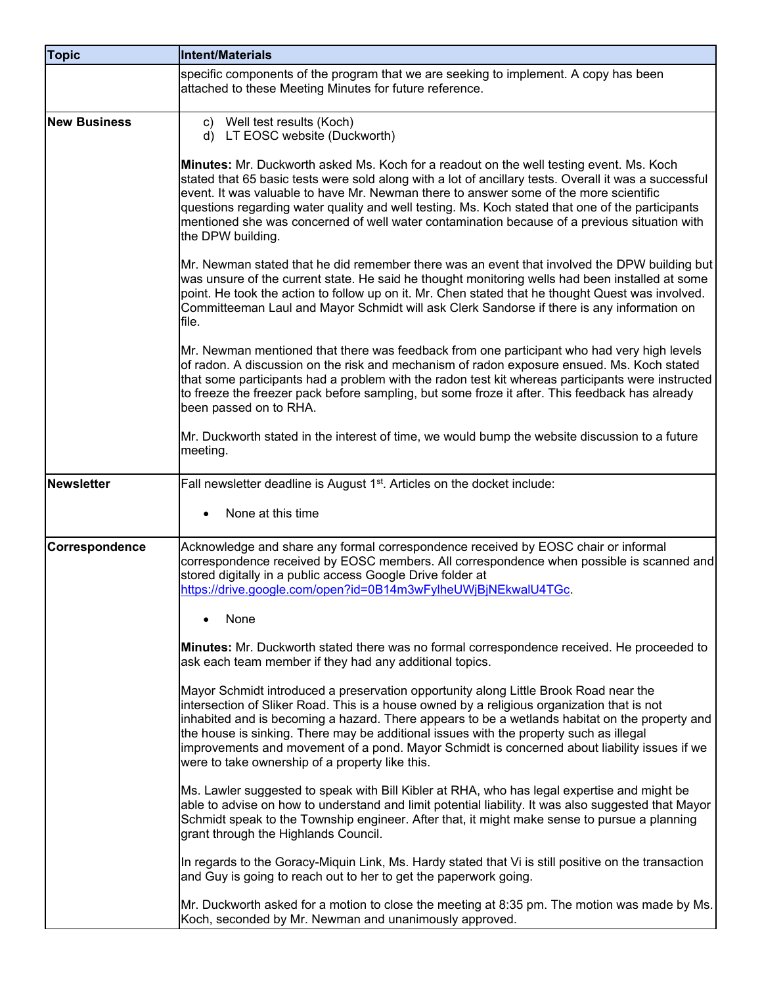| <b>Topic</b>        | Intent/Materials                                                                                                                                                                                                                                                                                                                                                                                                                                                                                                                  |
|---------------------|-----------------------------------------------------------------------------------------------------------------------------------------------------------------------------------------------------------------------------------------------------------------------------------------------------------------------------------------------------------------------------------------------------------------------------------------------------------------------------------------------------------------------------------|
|                     | specific components of the program that we are seeking to implement. A copy has been<br>attached to these Meeting Minutes for future reference.                                                                                                                                                                                                                                                                                                                                                                                   |
| <b>New Business</b> | Well test results (Koch)<br>$\mathbf{c}$<br>LT EOSC website (Duckworth)<br>d)                                                                                                                                                                                                                                                                                                                                                                                                                                                     |
|                     | Minutes: Mr. Duckworth asked Ms. Koch for a readout on the well testing event. Ms. Koch<br>stated that 65 basic tests were sold along with a lot of ancillary tests. Overall it was a successful<br>event. It was valuable to have Mr. Newman there to answer some of the more scientific<br>questions regarding water quality and well testing. Ms. Koch stated that one of the participants<br>mentioned she was concerned of well water contamination because of a previous situation with<br>the DPW building.                |
|                     | Mr. Newman stated that he did remember there was an event that involved the DPW building but<br>was unsure of the current state. He said he thought monitoring wells had been installed at some<br>point. He took the action to follow up on it. Mr. Chen stated that he thought Quest was involved.<br>Committeeman Laul and Mayor Schmidt will ask Clerk Sandorse if there is any information on<br>file.                                                                                                                       |
|                     | Mr. Newman mentioned that there was feedback from one participant who had very high levels<br>of radon. A discussion on the risk and mechanism of radon exposure ensued. Ms. Koch stated<br>that some participants had a problem with the radon test kit whereas participants were instructed<br>to freeze the freezer pack before sampling, but some froze it after. This feedback has already<br>been passed on to RHA.                                                                                                         |
|                     | Mr. Duckworth stated in the interest of time, we would bump the website discussion to a future<br>meeting.                                                                                                                                                                                                                                                                                                                                                                                                                        |
| Newsletter          | Fall newsletter deadline is August 1 <sup>st</sup> . Articles on the docket include:<br>None at this time                                                                                                                                                                                                                                                                                                                                                                                                                         |
| Correspondence      | Acknowledge and share any formal correspondence received by EOSC chair or informal<br>correspondence received by EOSC members. All correspondence when possible is scanned and<br>stored digitally in a public access Google Drive folder at<br>https://drive.google.com/open?id=0B14m3wFylheUWjBjNEkwalU4TGc.                                                                                                                                                                                                                    |
|                     | None                                                                                                                                                                                                                                                                                                                                                                                                                                                                                                                              |
|                     | Minutes: Mr. Duckworth stated there was no formal correspondence received. He proceeded to<br>ask each team member if they had any additional topics.                                                                                                                                                                                                                                                                                                                                                                             |
|                     | Mayor Schmidt introduced a preservation opportunity along Little Brook Road near the<br>intersection of Sliker Road. This is a house owned by a religious organization that is not<br>inhabited and is becoming a hazard. There appears to be a wetlands habitat on the property and<br>the house is sinking. There may be additional issues with the property such as illegal<br>improvements and movement of a pond. Mayor Schmidt is concerned about liability issues if we<br>were to take ownership of a property like this. |
|                     | Ms. Lawler suggested to speak with Bill Kibler at RHA, who has legal expertise and might be<br>able to advise on how to understand and limit potential liability. It was also suggested that Mayor<br>Schmidt speak to the Township engineer. After that, it might make sense to pursue a planning<br>grant through the Highlands Council.                                                                                                                                                                                        |
|                     | In regards to the Goracy-Miquin Link, Ms. Hardy stated that Vi is still positive on the transaction<br>and Guy is going to reach out to her to get the paperwork going.                                                                                                                                                                                                                                                                                                                                                           |
|                     | Mr. Duckworth asked for a motion to close the meeting at 8:35 pm. The motion was made by Ms.<br>Koch, seconded by Mr. Newman and unanimously approved.                                                                                                                                                                                                                                                                                                                                                                            |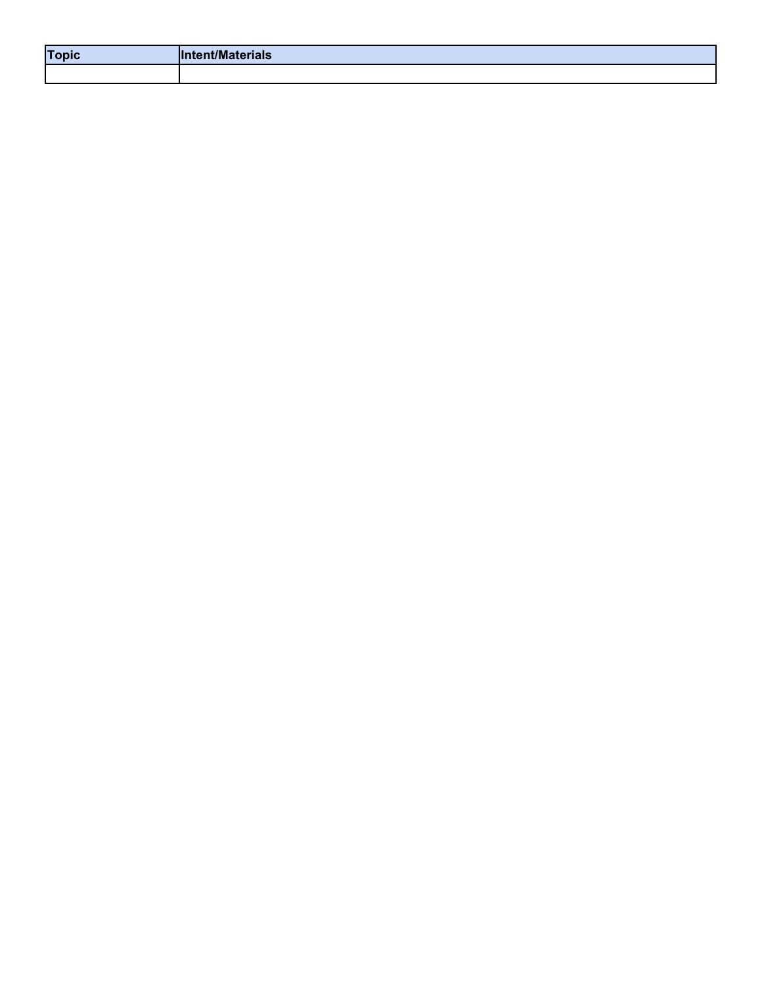| <b>Topic</b> | <b>'ent/Materials</b> |
|--------------|-----------------------|
|              |                       |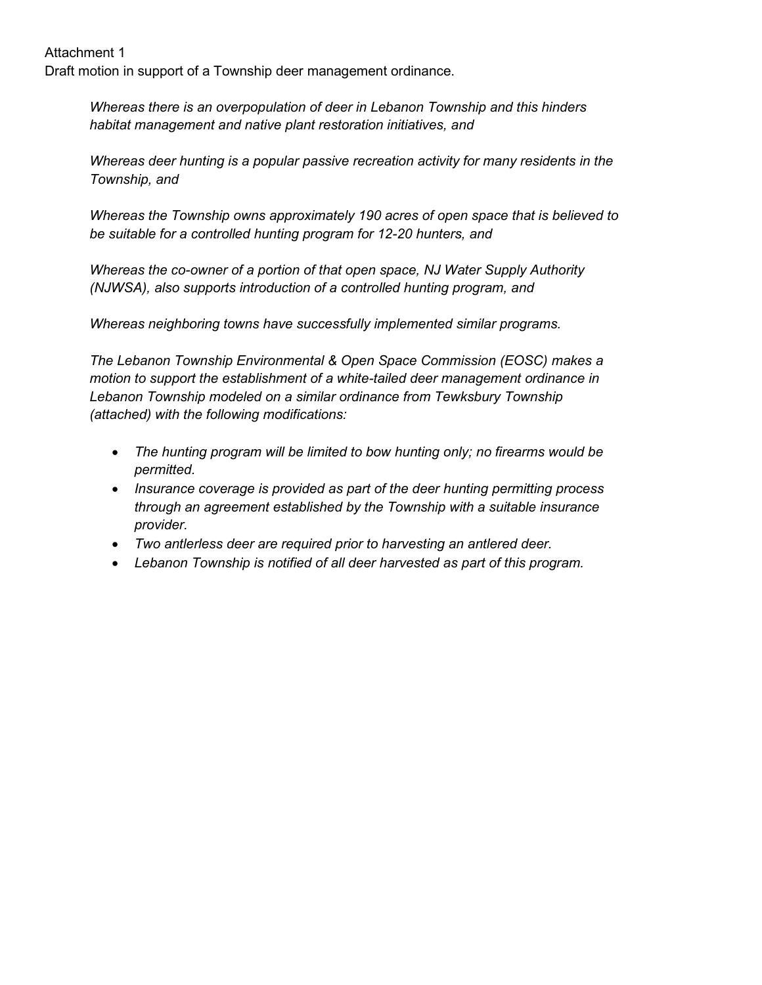Attachment 1 Draft motion in support of a Township deer management ordinance.

> *Whereas there is an overpopulation of deer in Lebanon Township and this hinders habitat management and native plant restoration initiatives, and*

*Whereas deer hunting is a popular passive recreation activity for many residents in the Township, and*

*Whereas the Township owns approximately 190 acres of open space that is believed to be suitable for a controlled hunting program for 12-20 hunters, and*

*Whereas the co-owner of a portion of that open space, NJ Water Supply Authority (NJWSA), also supports introduction of a controlled hunting program, and*

*Whereas neighboring towns have successfully implemented similar programs.*

*The Lebanon Township Environmental & Open Space Commission (EOSC) makes a motion to support the establishment of a white-tailed deer management ordinance in Lebanon Township modeled on a similar ordinance from Tewksbury Township (attached) with the following modifications:*

- *The hunting program will be limited to bow hunting only; no firearms would be permitted.*
- *Insurance coverage is provided as part of the deer hunting permitting process through an agreement established by the Township with a suitable insurance provider.*
- *Two antlerless deer are required prior to harvesting an antlered deer.*
- *Lebanon Township is notified of all deer harvested as part of this program.*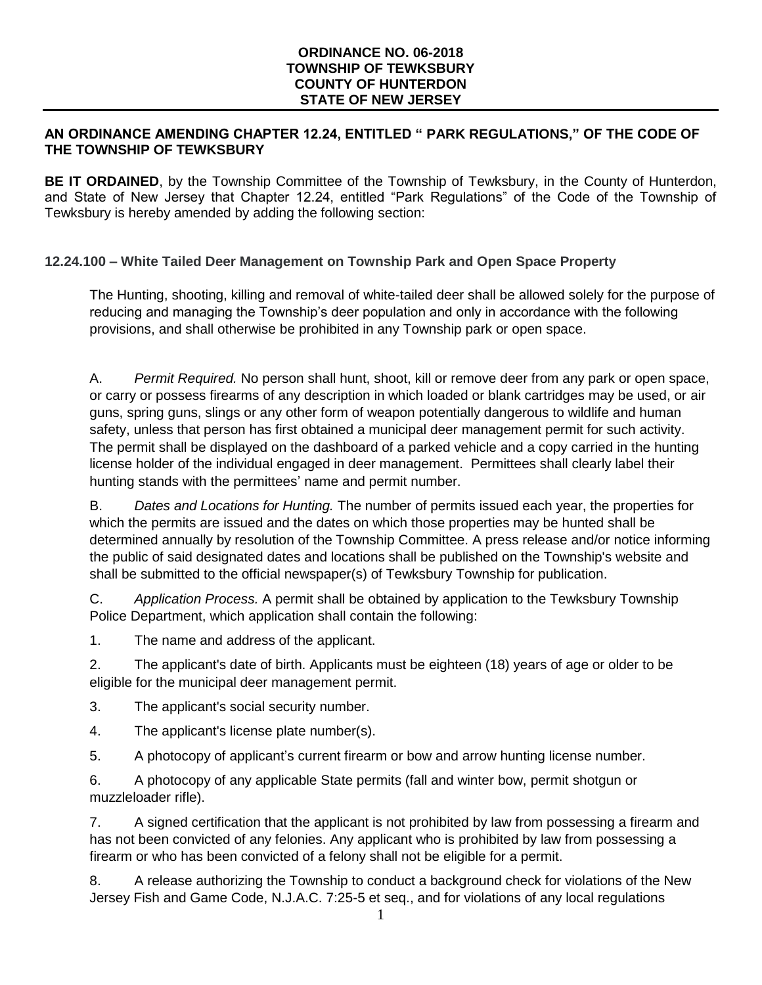#### **ORDINANCE NO. 06-2018 TOWNSHIP OF TEWKSBURY COUNTY OF HUNTERDON STATE OF NEW JERSEY**

#### **AN ORDINANCE AMENDING CHAPTER 12.24, ENTITLED " PARK REGULATIONS," OF THE CODE OF THE TOWNSHIP OF TEWKSBURY**

**BE IT ORDAINED**, by the Township Committee of the Township of Tewksbury, in the County of Hunterdon, and State of New Jersey that Chapter 12.24, entitled "Park Regulations" of the Code of the Township of Tewksbury is hereby amended by adding the following section:

# **12.24.100 – White Tailed Deer Management on Township Park and Open Space Property**

The Hunting, shooting, killing and removal of white-tailed deer shall be allowed solely for the purpose of reducing and managing the Township's deer population and only in accordance with the following provisions, and shall otherwise be prohibited in any Township park or open space.

A. *Permit Required.* No person shall hunt, shoot, kill or remove deer from any park or open space, or carry or possess firearms of any description in which loaded or blank cartridges may be used, or air guns, spring guns, slings or any other form of weapon potentially dangerous to wildlife and human safety, unless that person has first obtained a municipal deer management permit for such activity. The permit shall be displayed on the dashboard of a parked vehicle and a copy carried in the hunting license holder of the individual engaged in deer management. Permittees shall clearly label their hunting stands with the permittees' name and permit number.

B. *Dates and Locations for Hunting.* The number of permits issued each year, the properties for which the permits are issued and the dates on which those properties may be hunted shall be determined annually by resolution of the Township Committee. A press release and/or notice informing the public of said designated dates and locations shall be published on the Township's website and shall be submitted to the official newspaper(s) of Tewksbury Township for publication.

C. *Application Process.* A permit shall be obtained by application to the Tewksbury Township Police Department, which application shall contain the following:

1. The name and address of the applicant.

2. The applicant's date of birth. Applicants must be eighteen (18) years of age or older to be eligible for the municipal deer management permit.

- 3. The applicant's social security number.
- 4. The applicant's license plate number(s).
- 5. A photocopy of applicant's current firearm or bow and arrow hunting license number.

6. A photocopy of any applicable State permits (fall and winter bow, permit shotgun or muzzleloader rifle).

7. A signed certification that the applicant is not prohibited by law from possessing a firearm and has not been convicted of any felonies. Any applicant who is prohibited by law from possessing a firearm or who has been convicted of a felony shall not be eligible for a permit.

8. A release authorizing the Township to conduct a background check for violations of the New Jersey Fish and Game Code, N.J.A.C. 7:25-5 et seq., and for violations of any local regulations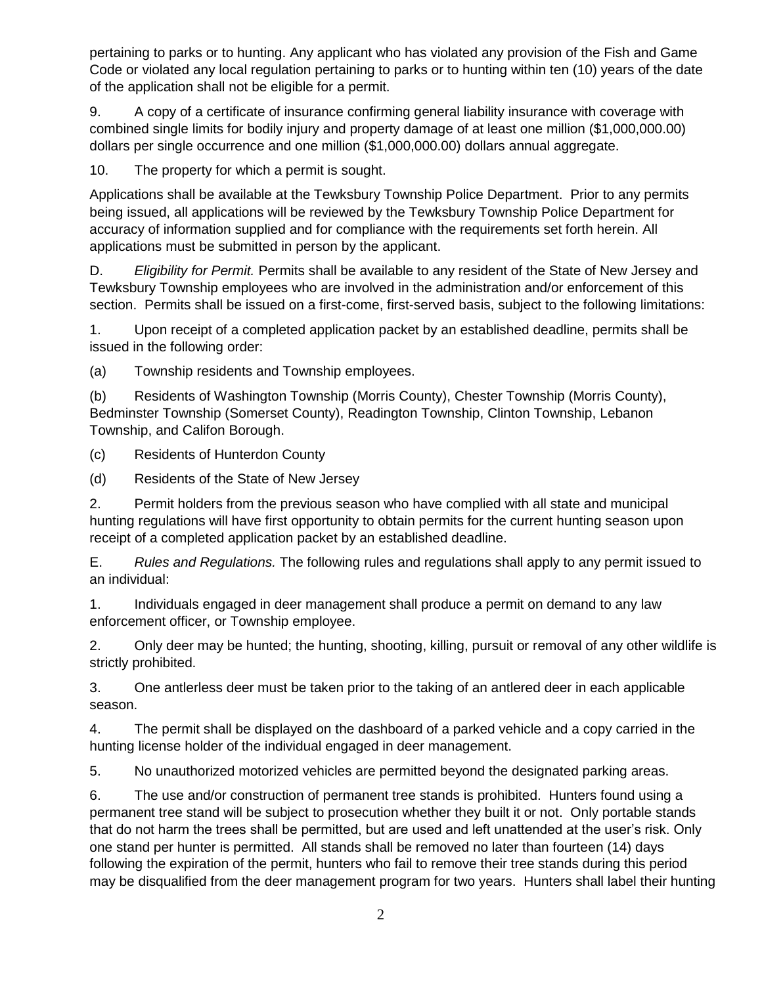pertaining to parks or to hunting. Any applicant who has violated any provision of the Fish and Game Code or violated any local regulation pertaining to parks or to hunting within ten (10) years of the date of the application shall not be eligible for a permit.

9. A copy of a certificate of insurance confirming general liability insurance with coverage with combined single limits for bodily injury and property damage of at least one million (\$1,000,000.00) dollars per single occurrence and one million (\$1,000,000.00) dollars annual aggregate.

10. The property for which a permit is sought.

Applications shall be available at the Tewksbury Township Police Department. Prior to any permits being issued, all applications will be reviewed by the Tewksbury Township Police Department for accuracy of information supplied and for compliance with the requirements set forth herein. All applications must be submitted in person by the applicant.

D. *Eligibility for Permit.* Permits shall be available to any resident of the State of New Jersey and Tewksbury Township employees who are involved in the administration and/or enforcement of this section. Permits shall be issued on a first-come, first-served basis, subject to the following limitations:

1. Upon receipt of a completed application packet by an established deadline, permits shall be issued in the following order:

(a) Township residents and Township employees.

(b) Residents of Washington Township (Morris County), Chester Township (Morris County), Bedminster Township (Somerset County), Readington Township, Clinton Township, Lebanon Township, and Califon Borough.

(c) Residents of Hunterdon County

(d) Residents of the State of New Jersey

2. Permit holders from the previous season who have complied with all state and municipal hunting regulations will have first opportunity to obtain permits for the current hunting season upon receipt of a completed application packet by an established deadline.

E. *Rules and Regulations.* The following rules and regulations shall apply to any permit issued to an individual:

1. Individuals engaged in deer management shall produce a permit on demand to any law enforcement officer, or Township employee.

2. Only deer may be hunted; the hunting, shooting, killing, pursuit or removal of any other wildlife is strictly prohibited.

3. One antlerless deer must be taken prior to the taking of an antlered deer in each applicable season.

4. The permit shall be displayed on the dashboard of a parked vehicle and a copy carried in the hunting license holder of the individual engaged in deer management.

5. No unauthorized motorized vehicles are permitted beyond the designated parking areas.

6. The use and/or construction of permanent tree stands is prohibited. Hunters found using a permanent tree stand will be subject to prosecution whether they built it or not. Only portable stands that do not harm the trees shall be permitted, but are used and left unattended at the user's risk. Only one stand per hunter is permitted. All stands shall be removed no later than fourteen (14) days following the expiration of the permit, hunters who fail to remove their tree stands during this period may be disqualified from the deer management program for two years. Hunters shall label their hunting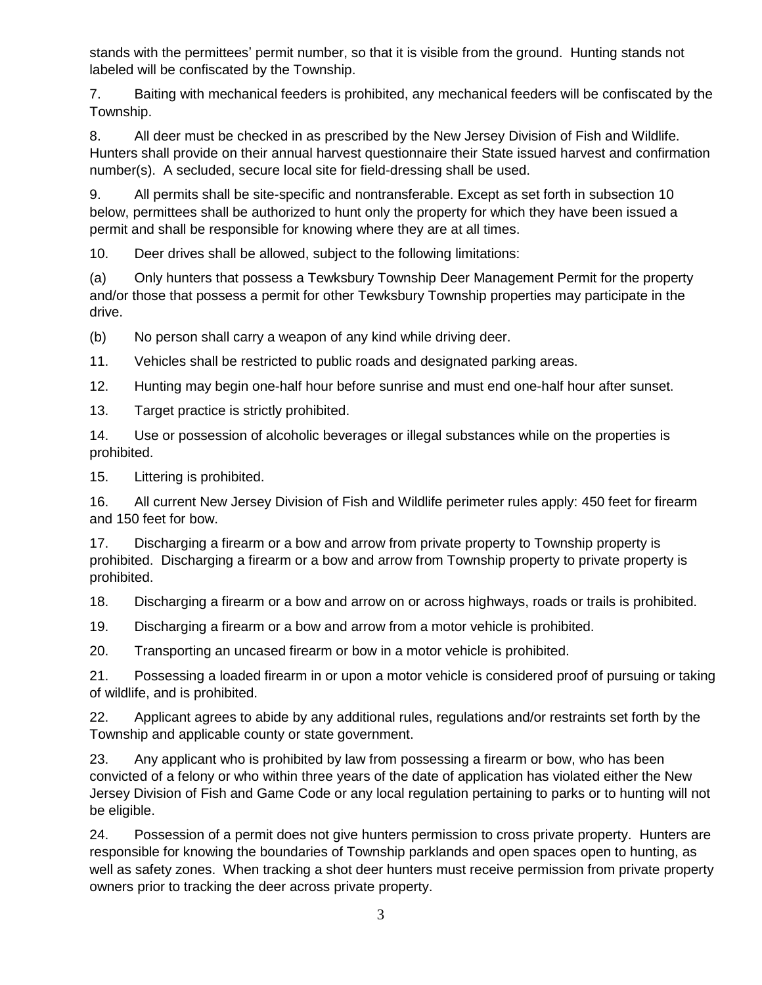stands with the permittees' permit number, so that it is visible from the ground. Hunting stands not labeled will be confiscated by the Township.

7. Baiting with mechanical feeders is prohibited, any mechanical feeders will be confiscated by the Township.

8. All deer must be checked in as prescribed by the New Jersey Division of Fish and Wildlife. Hunters shall provide on their annual harvest questionnaire their State issued harvest and confirmation number(s). A secluded, secure local site for field-dressing shall be used.

9. All permits shall be site-specific and nontransferable. Except as set forth in subsection 10 below, permittees shall be authorized to hunt only the property for which they have been issued a permit and shall be responsible for knowing where they are at all times.

10. Deer drives shall be allowed, subject to the following limitations:

(a) Only hunters that possess a Tewksbury Township Deer Management Permit for the property and/or those that possess a permit for other Tewksbury Township properties may participate in the drive.

(b) No person shall carry a weapon of any kind while driving deer.

11. Vehicles shall be restricted to public roads and designated parking areas.

12. Hunting may begin one-half hour before sunrise and must end one-half hour after sunset.

13. Target practice is strictly prohibited.

14. Use or possession of alcoholic beverages or illegal substances while on the properties is prohibited.

15. Littering is prohibited.

16. All current New Jersey Division of Fish and Wildlife perimeter rules apply: 450 feet for firearm and 150 feet for bow.

17. Discharging a firearm or a bow and arrow from private property to Township property is prohibited. Discharging a firearm or a bow and arrow from Township property to private property is prohibited.

18. Discharging a firearm or a bow and arrow on or across highways, roads or trails is prohibited.

19. Discharging a firearm or a bow and arrow from a motor vehicle is prohibited.

20. Transporting an uncased firearm or bow in a motor vehicle is prohibited.

21. Possessing a loaded firearm in or upon a motor vehicle is considered proof of pursuing or taking of wildlife, and is prohibited.

22. Applicant agrees to abide by any additional rules, regulations and/or restraints set forth by the Township and applicable county or state government.

23. Any applicant who is prohibited by law from possessing a firearm or bow, who has been convicted of a felony or who within three years of the date of application has violated either the New Jersey Division of Fish and Game Code or any local regulation pertaining to parks or to hunting will not be eligible.

24. Possession of a permit does not give hunters permission to cross private property. Hunters are responsible for knowing the boundaries of Township parklands and open spaces open to hunting, as well as safety zones. When tracking a shot deer hunters must receive permission from private property owners prior to tracking the deer across private property.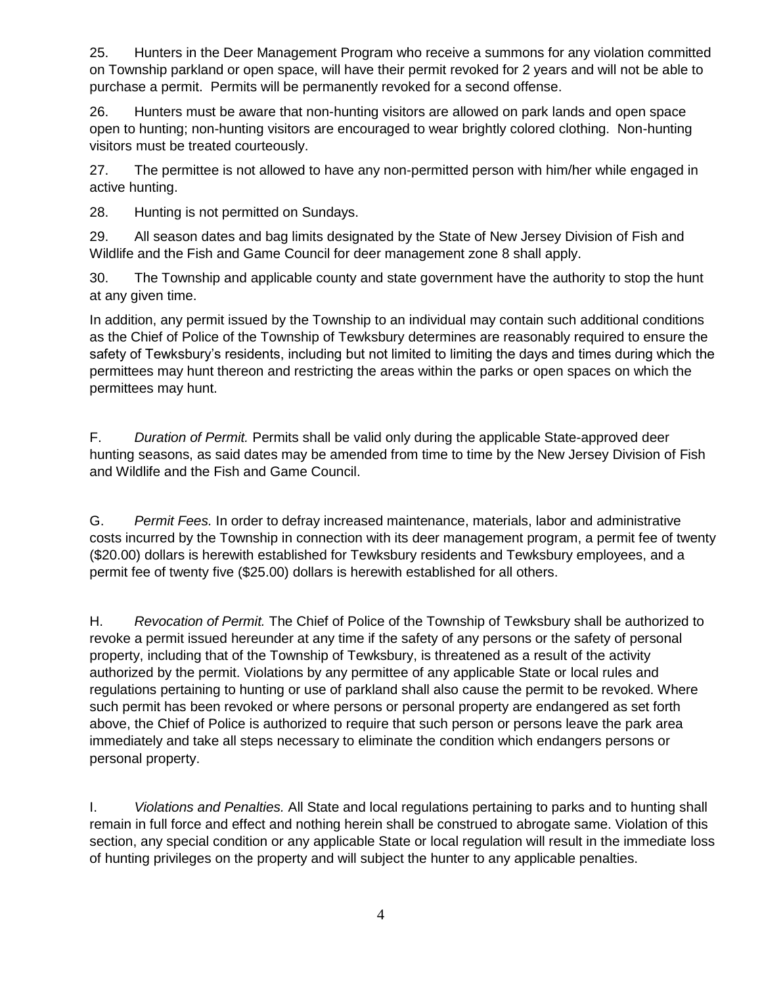25. Hunters in the Deer Management Program who receive a summons for any violation committed on Township parkland or open space, will have their permit revoked for 2 years and will not be able to purchase a permit. Permits will be permanently revoked for a second offense.

26. Hunters must be aware that non-hunting visitors are allowed on park lands and open space open to hunting; non-hunting visitors are encouraged to wear brightly colored clothing. Non-hunting visitors must be treated courteously.

27. The permittee is not allowed to have any non-permitted person with him/her while engaged in active hunting.

28. Hunting is not permitted on Sundays.

29. All season dates and bag limits designated by the State of New Jersey Division of Fish and Wildlife and the Fish and Game Council for deer management zone 8 shall apply.

30. The Township and applicable county and state government have the authority to stop the hunt at any given time.

In addition, any permit issued by the Township to an individual may contain such additional conditions as the Chief of Police of the Township of Tewksbury determines are reasonably required to ensure the safety of Tewksbury's residents, including but not limited to limiting the days and times during which the permittees may hunt thereon and restricting the areas within the parks or open spaces on which the permittees may hunt.

F. *Duration of Permit.* Permits shall be valid only during the applicable State-approved deer hunting seasons, as said dates may be amended from time to time by the New Jersey Division of Fish and Wildlife and the Fish and Game Council.

G. *Permit Fees.* In order to defray increased maintenance, materials, labor and administrative costs incurred by the Township in connection with its deer management program, a permit fee of twenty (\$20.00) dollars is herewith established for Tewksbury residents and Tewksbury employees, and a permit fee of twenty five (\$25.00) dollars is herewith established for all others.

H. *Revocation of Permit.* The Chief of Police of the Township of Tewksbury shall be authorized to revoke a permit issued hereunder at any time if the safety of any persons or the safety of personal property, including that of the Township of Tewksbury, is threatened as a result of the activity authorized by the permit. Violations by any permittee of any applicable State or local rules and regulations pertaining to hunting or use of parkland shall also cause the permit to be revoked. Where such permit has been revoked or where persons or personal property are endangered as set forth above, the Chief of Police is authorized to require that such person or persons leave the park area immediately and take all steps necessary to eliminate the condition which endangers persons or personal property.

I. *Violations and Penalties.* All State and local regulations pertaining to parks and to hunting shall remain in full force and effect and nothing herein shall be construed to abrogate same. Violation of this section, any special condition or any applicable State or local regulation will result in the immediate loss of hunting privileges on the property and will subject the hunter to any applicable penalties.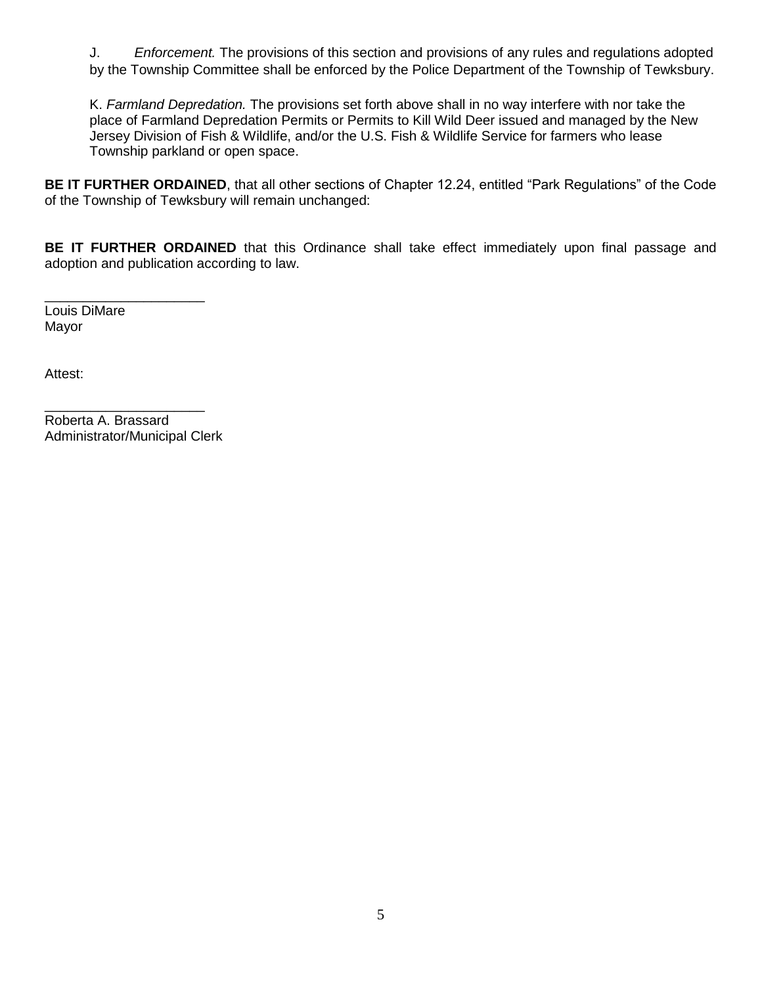J. *Enforcement.* The provisions of this section and provisions of any rules and regulations adopted by the Township Committee shall be enforced by the Police Department of the Township of Tewksbury.

K. *Farmland Depredation.* The provisions set forth above shall in no way interfere with nor take the place of Farmland Depredation Permits or Permits to Kill Wild Deer issued and managed by the New Jersey Division of Fish & Wildlife, and/or the U.S. Fish & Wildlife Service for farmers who lease Township parkland or open space.

**BE IT FURTHER ORDAINED**, that all other sections of Chapter 12.24, entitled "Park Regulations" of the Code of the Township of Tewksbury will remain unchanged:

**BE IT FURTHER ORDAINED** that this Ordinance shall take effect immediately upon final passage and adoption and publication according to law.

\_\_\_\_\_\_\_\_\_\_\_\_\_\_\_\_\_\_\_\_\_ Louis DiMare Mayor

Attest:

\_\_\_\_\_\_\_\_\_\_\_\_\_\_\_\_\_\_\_\_\_ Roberta A. Brassard Administrator/Municipal Clerk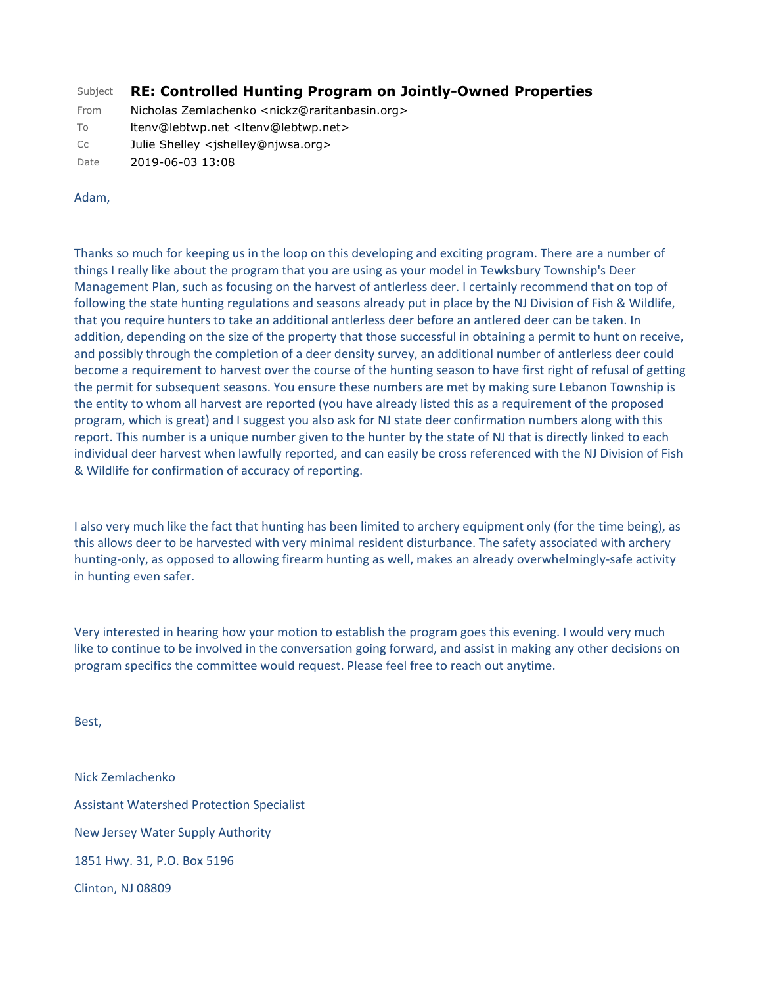## Subject **RE: Controlled Hunting Program on Jointly-Owned Properties**

From Nicholas Zemlachenko <nickz@raritanbasin.org>

To ltenv@lebtwp.net <ltenv@lebtwp.net>

Cc Julie Shelley <jshelley@njwsa.org>

Date 2019-06-03 13:08

#### Adam,

Thanks so much for keeping us in the loop on this developing and exciting program. There are a number of things I really like about the program that you are using as your model in Tewksbury Township's Deer Management Plan, such as focusing on the harvest of antlerless deer. I certainly recommend that on top of following the state hunting regulations and seasons already put in place by the NJ Division of Fish & Wildlife, that you require hunters to take an additional antlerless deer before an antlered deer can be taken. In addition, depending on the size of the property that those successful in obtaining a permit to hunt on receive, and possibly through the completion of a deer density survey, an additional number of antlerless deer could become a requirement to harvest over the course of the hunting season to have first right of refusal of getting the permit for subsequent seasons. You ensure these numbers are met by making sure Lebanon Township is the entity to whom all harvest are reported (you have already listed this as a requirement of the proposed program, which is great) and I suggest you also ask for NJ state deer confirmation numbers along with this report. This number is a unique number given to the hunter by the state of NJ that is directly linked to each individual deer harvest when lawfully reported, and can easily be cross referenced with the NJ Division of Fish & Wildlife for confirmation of accuracy of reporting.

I also very much like the fact that hunting has been limited to archery equipment only (for the time being), as this allows deer to be harvested with very minimal resident disturbance. The safety associated with archery hunting-only, as opposed to allowing firearm hunting as well, makes an already overwhelmingly-safe activity in hunting even safer.

Very interested in hearing how your motion to establish the program goes this evening. I would very much like to continue to be involved in the conversation going forward, and assist in making any other decisions on program specifics the committee would request. Please feel free to reach out anytime.

Best,

Nick Zemlachenko Assistant Watershed Protection Specialist New Jersey Water Supply Authority 1851 Hwy. 31, P.O. Box 5196 Clinton, NJ 08809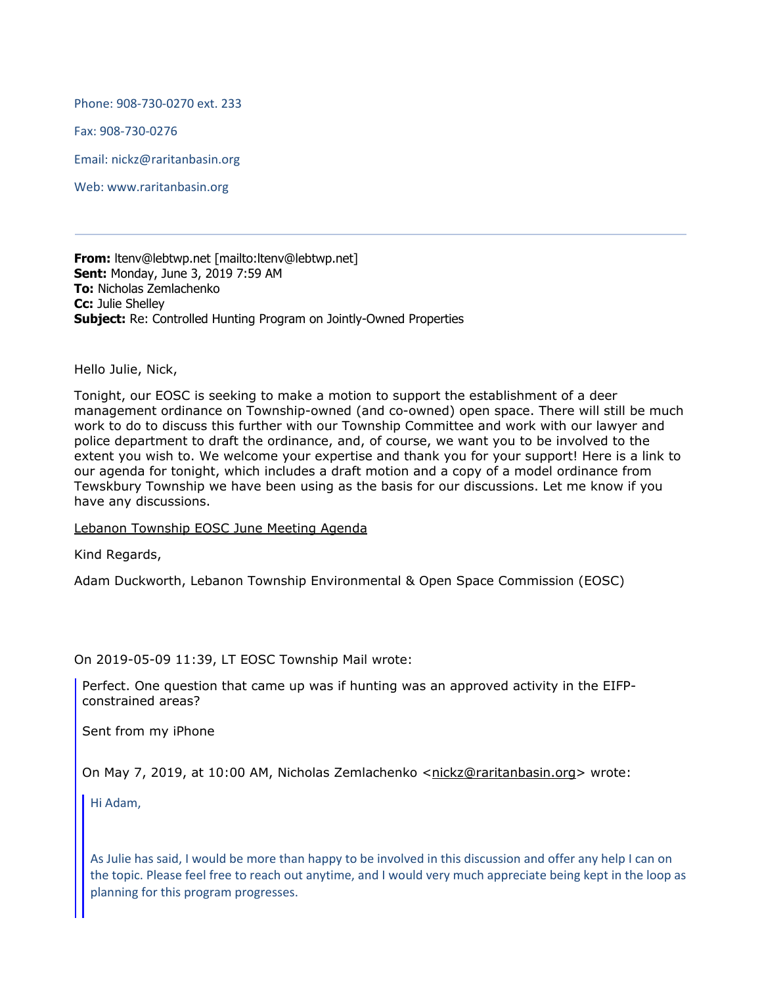Phone: 908-730-0270 ext. 233

Fax: 908-730-0276

Email: nickz@raritanbasin.org

Web: www.raritanbasin.org

**From:** ltenv@lebtwp.net [mailto:ltenv@lebtwp.net] **Sent:** Monday, June 3, 2019 7:59 AM **To:** Nicholas Zemlachenko **Cc:** Julie Shelley **Subject:** Re: Controlled Hunting Program on Jointly-Owned Properties

Hello Julie, Nick,

Tonight, our EOSC is seeking to make a motion to support the establishment of a deer management ordinance on Township-owned (and co-owned) open space. There will still be much work to do to discuss this further with our Township Committee and work with our lawyer and police department to draft the ordinance, and, of course, we want you to be involved to the extent you wish to. We welcome your expertise and thank you for your support! Here is a link to our agenda for tonight, which includes a draft motion and a copy of a model ordinance from Tewskbury Township we have been using as the basis for our discussions. Let me know if you have any discussions.

Lebanon Township EOSC June Meeting Agenda

Kind Regards,

Adam Duckworth, Lebanon Township Environmental & Open Space Commission (EOSC)

On 2019-05-09 11:39, LT EOSC Township Mail wrote:

Perfect. One question that came up was if hunting was an approved activity in the EIFPconstrained areas?

Sent from my iPhone

On May 7, 2019, at 10:00 AM, Nicholas Zemlachenko <nickz@raritanbasin.org> wrote:

Hi Adam,

As Julie has said, I would be more than happy to be involved in this discussion and offer any help I can on the topic. Please feel free to reach out anytime, and I would very much appreciate being kept in the loop as planning for this program progresses.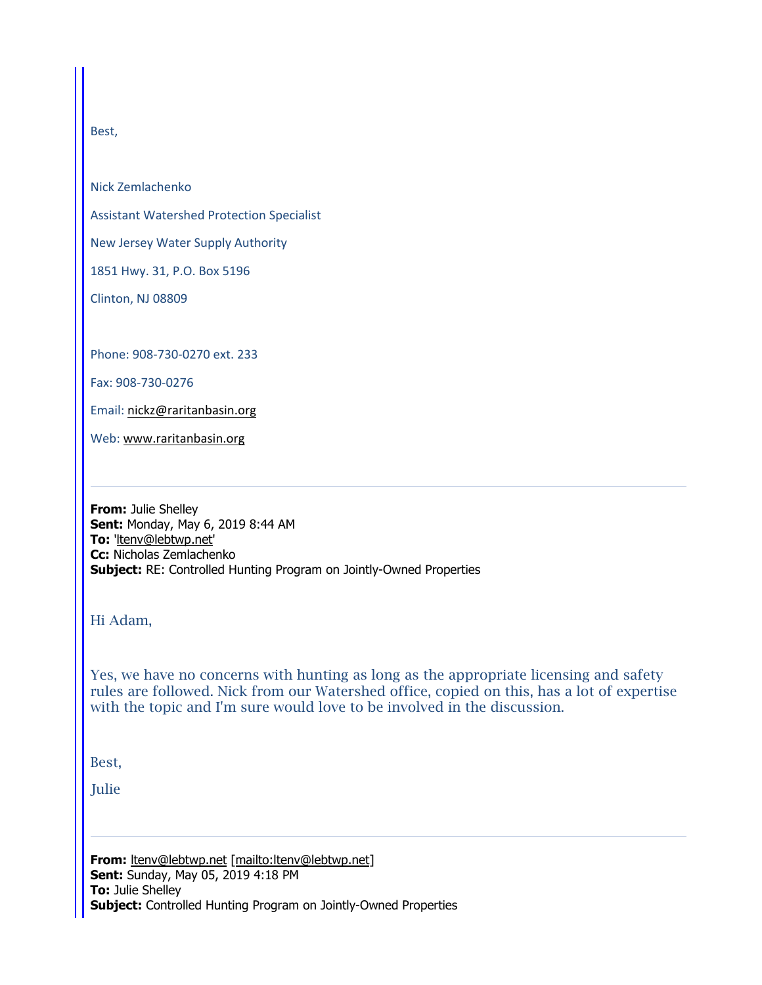Best,

Nick Zemlachenko

Assistant Watershed Protection Specialist

New Jersey Water Supply Authority

1851 Hwy. 31, P.O. Box 5196

Clinton, NJ 08809

Phone: 908-730-0270 ext. 233

Fax: 908-730-0276

Email: nickz@raritanbasin.org

Web: www.raritanbasin.org

**From:** Julie Shelley **Sent:** Monday, May 6, 2019 8:44 AM **To:** 'ltenv@lebtwp.net' **Cc:** Nicholas Zemlachenko **Subject:** RE: Controlled Hunting Program on Jointly-Owned Properties

Hi Adam,

Yes, we have no concerns with hunting as long as the appropriate licensing and safety rules are followed. Nick from our Watershed office, copied on this, has a lot of expertise with the topic and I'm sure would love to be involved in the discussion.

Best,

Julie

From: ltenv@lebtwp.net [mailto:ltenv@lebtwp.net] **Sent:** Sunday, May 05, 2019 4:18 PM **To:** Julie Shelley **Subject:** Controlled Hunting Program on Jointly-Owned Properties